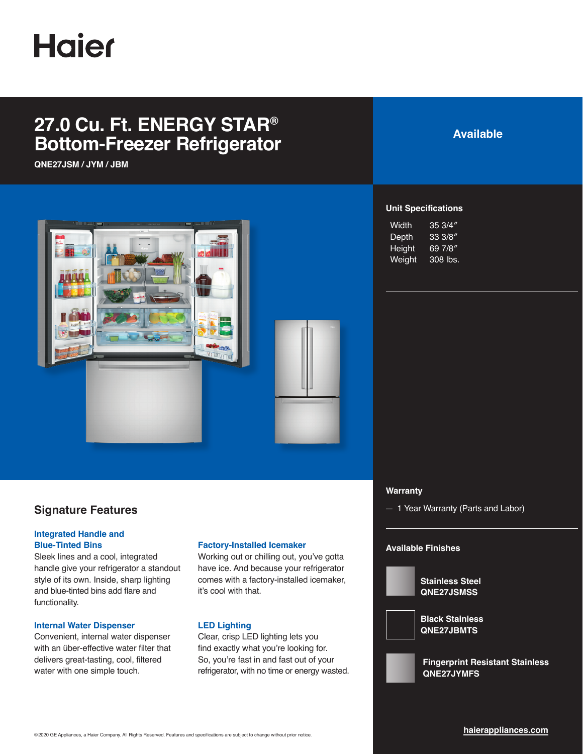

# **27.0 Cu. Ft. ENERGY STAR® Bottom-Freezer Refrigerator**

**QNE27JSM / JYM / JBM**



# **Signature Features**

#### **Integrated Handle and Blue-Tinted Bins**

Sleek lines and a cool, integrated handle give your refrigerator a standout style of its own. Inside, sharp lighting and blue-tinted bins add flare and functionality.

#### **Internal Water Dispenser**

Convenient, internal water dispenser with an über-effective water filter that delivers great-tasting, cool, filtered water with one simple touch.

#### **Factory-Installed Icemaker**

Working out or chilling out, you've gotta have ice. And because your refrigerator comes with a factory-installed icemaker, it's cool with that.

#### **LED Lighting**

Clear, crisp LED lighting lets you find exactly what you're looking for. So, you're fast in and fast out of your refrigerator, with no time or energy wasted.

## **Available**

#### **Unit Specifications**

| Width         | 35.3/4'' |
|---------------|----------|
| Depth         | 33 3/8"  |
| <b>Height</b> | 69 7/8″  |
| Weight        | 308 lbs. |

#### **Warranty**

— 1 Year Warranty (Parts and Labor)

#### **Available Finishes**



**Stainless Steel QNE27JSMSS**



**Black Stainless QNE27JBMTS**



**Fingerprint Resistant Stainless QNE27JYMFS**